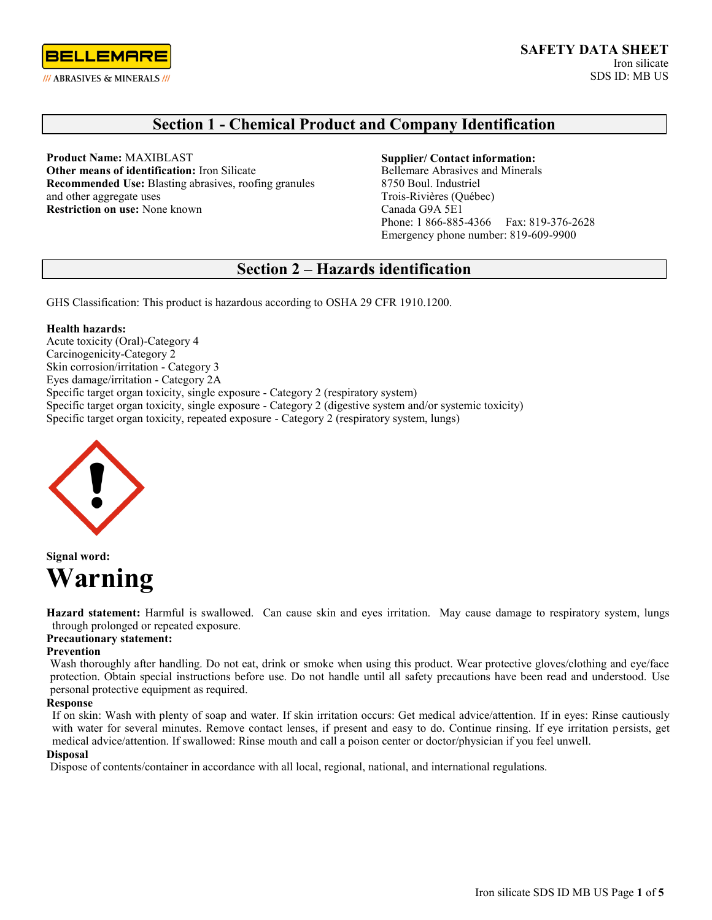

# **Section 1 - Chemical Product and Company Identification**

**Product Name:** MAXIBLAST **Other means of identification:** Iron Silicate **Recommended Use:** Blasting abrasives, roofing granules and other aggregate uses **Restriction on use:** None known

#### **Supplier/ Contact information:**

Bellemare Abrasives and Minerals 8750 Boul. Industriel Trois-Rivières (Québec) Canada G9A 5E1 Phone: 1 866-885-4366 Fax: 819-376-2628 Emergency phone number: 819-609-9900

# **Section 2 – Hazards identification**

GHS Classification: This product is hazardous according to OSHA 29 CFR 1910.1200.

### **Health hazards:**

Acute toxicity (Oral)-Category 4 Carcinogenicity-Category 2 Skin corrosion/irritation - Category 3 Eyes damage/irritation - Category 2A Specific target organ toxicity, single exposure - Category 2 (respiratory system) Specific target organ toxicity, single exposure - Category 2 (digestive system and/or systemic toxicity) Specific target organ toxicity, repeated exposure - Category 2 (respiratory system, lungs)



**Signal word: Warning**

**Hazard statement:** Harmful is swallowed. Can cause skin and eyes irritation. May cause damage to respiratory system, lungs through prolonged or repeated exposure.

## **Precautionary statement:**

### **Prevention**

Wash thoroughly after handling. Do not eat, drink or smoke when using this product. Wear protective gloves/clothing and eye/face protection. Obtain special instructions before use. Do not handle until all safety precautions have been read and understood. Use personal protective equipment as required.

#### **Response**

If on skin: Wash with plenty of soap and water. If skin irritation occurs: Get medical advice/attention. If in eyes: Rinse cautiously with water for several minutes. Remove contact lenses, if present and easy to do. Continue rinsing. If eye irritation persists, get medical advice/attention. If swallowed: Rinse mouth and call a poison center or doctor/physician if you feel unwell.

### **Disposal**

Dispose of contents/container in accordance with all local, regional, national, and international regulations.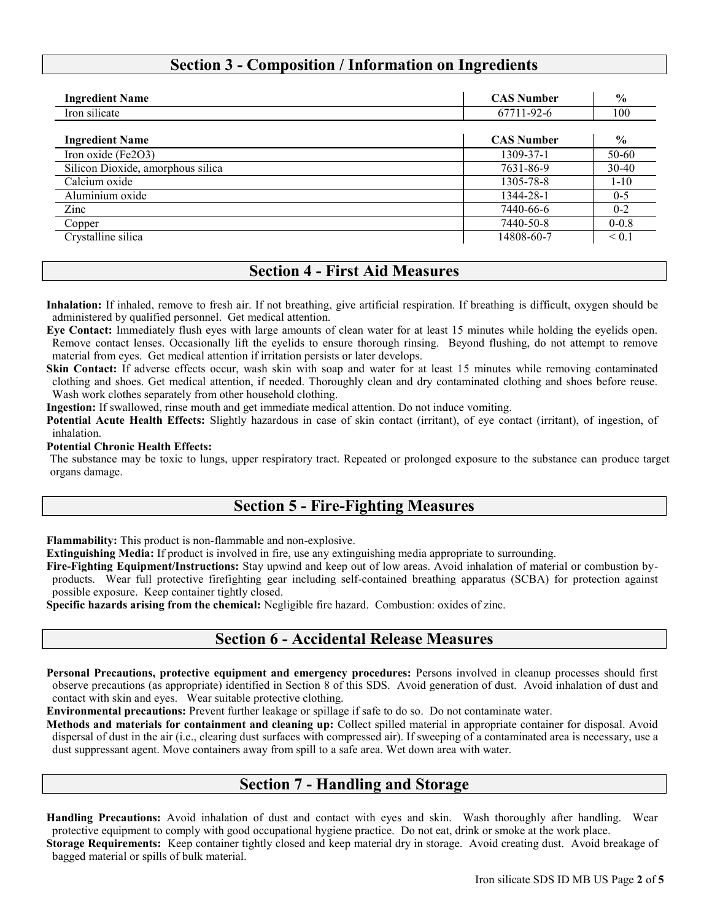# **Section 3 - Composition / Information on Ingredients**

| <b>Ingredient Name</b>            | <b>CAS Number</b> | $\frac{0}{0}$ |
|-----------------------------------|-------------------|---------------|
| Iron silicate                     | 67711-92-6        | 100           |
| <b>Ingredient Name</b>            | <b>CAS Number</b> | $\frac{0}{0}$ |
| Iron oxide (Fe2O3)                | 1309-37-1         | 50-60         |
| Silicon Dioxide, amorphous silica | 7631-86-9         | $30-40$       |
| Calcium oxide                     | 1305-78-8         | $1 - 10$      |
| Aluminium oxide                   | 1344-28-1         | $0 - 5$       |
| Zinc                              | 7440-66-6         | $0 - 2$       |
| Copper                            | 7440-50-8         | $0 - 0.8$     |
| Crystalline silica                | 14808-60-7        | $\leq 0.1$    |

# **Section 4 - First Aid Measures**

**Inhalation:** If inhaled, remove to fresh air. If not breathing, give artificial respiration. If breathing is difficult, oxygen should be administered by qualified personnel. Get medical attention.

**Eye Contact:** Immediately flush eyes with large amounts of clean water for at least 15 minutes while holding the eyelids open. Remove contact lenses. Occasionally lift the eyelids to ensure thorough rinsing. Beyond flushing, do not attempt to remove material from eyes. Get medical attention if irritation persists or later develops.

**Skin Contact:** If adverse effects occur, wash skin with soap and water for at least 15 minutes while removing contaminated clothing and shoes. Get medical attention, if needed. Thoroughly clean and dry contaminated clothing and shoes before reuse. Wash work clothes separately from other household clothing.

**Ingestion:** If swallowed, rinse mouth and get immediate medical attention. Do not induce vomiting.

Potential Acute Health Effects: Slightly hazardous in case of skin contact (irritant), of eye contact (irritant), of ingestion, of inhalation.

### **Potential Chronic Health Effects:**

The substance may be toxic to lungs, upper respiratory tract. Repeated or prolonged exposure to the substance can produce target organs damage.

## **Section 5 - Fire-Fighting Measures**

**Flammability:** This product is non-flammable and non-explosive.

**Extinguishing Media:** If product is involved in fire, use any extinguishing media appropriate to surrounding.

**Fire-Fighting Equipment/Instructions:** Stay upwind and keep out of low areas. Avoid inhalation of material or combustion byproducts. Wear full protective firefighting gear including self-contained breathing apparatus (SCBA) for protection against possible exposure. Keep container tightly closed.

**Specific hazards arising from the chemical:** Negligible fire hazard. Combustion: oxides of zinc.

## **Section 6 - Accidental Release Measures**

**Personal Precautions, protective equipment and emergency procedures:** Persons involved in cleanup processes should first observe precautions (as appropriate) identified in Section 8 of this SDS. Avoid generation of dust. Avoid inhalation of dust and contact with skin and eyes. Wear suitable protective clothing.

**Environmental precautions:** Prevent further leakage or spillage if safe to do so. Do not contaminate water.

**Methods and materials for containment and cleaning up:** Collect spilled material in appropriate container for disposal. Avoid dispersal of dust in the air (i.e., clearing dust surfaces with compressed air). If sweeping of a contaminated area is necessary, use a dust suppressant agent. Move containers away from spill to a safe area. Wet down area with water.

## **Section 7 - Handling and Storage**

**Handling Precautions:** Avoid inhalation of dust and contact with eyes and skin. Wash thoroughly after handling. Wear protective equipment to comply with good occupational hygiene practice. Do not eat, drink or smoke at the work place. **Storage Requirements:** Keep container tightly closed and keep material dry in storage. Avoid creating dust. Avoid breakage of

bagged material or spills of bulk material.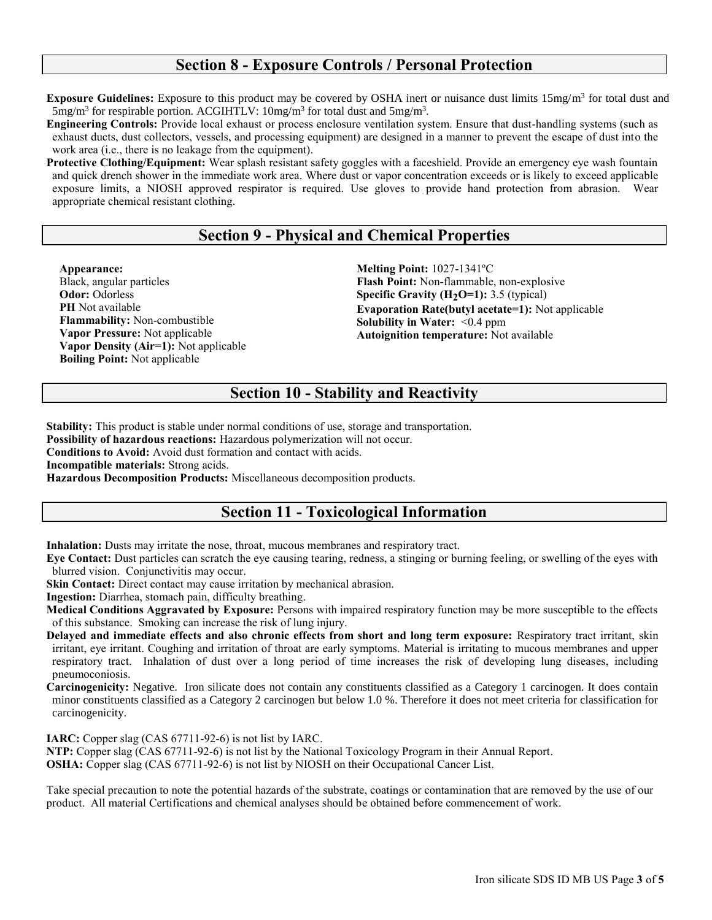## **Section 8 - Exposure Controls / Personal Protection**

**Exposure Guidelines:** Exposure to this product may be covered by OSHA inert or nuisance dust limits 15mg/m<sup>3</sup> for total dust and  $5 \text{mg/m}^3$  for respirable portion. ACGIHTLV:  $10 \text{mg/m}^3$  for total dust and  $5 \text{mg/m}^3$ .

**Engineering Controls:** Provide local exhaust or process enclosure ventilation system. Ensure that dust-handling systems (such as exhaust ducts, dust collectors, vessels, and processing equipment) are designed in a manner to prevent the escape of dust into the work area (i.e., there is no leakage from the equipment).

**Protective Clothing/Equipment:** Wear splash resistant safety goggles with a faceshield. Provide an emergency eye wash fountain and quick drench shower in the immediate work area. Where dust or vapor concentration exceeds or is likely to exceed applicable exposure limits, a NIOSH approved respirator is required. Use gloves to provide hand protection from abrasion. Wear appropriate chemical resistant clothing.

# **Section 9 - Physical and Chemical Properties**

**Appearance:**  Black, angular particles **Odor:** Odorless **PH** Not available **Flammability:** Non-combustible **Vapor Pressure:** Not applicable **Vapor Density (Air=1):** Not applicable **Boiling Point:** Not applicable

**Melting Point:** 1027-1341ºC **Flash Point:** Non-flammable, non-explosive **Specific Gravity (H2O=1):** 3.5 (typical) **Evaporation Rate(butyl acetate=1):** Not applicable **Solubility in Water:** <0.4 ppm **Autoignition temperature:** Not available

# **Section 10 - Stability and Reactivity**

**Stability:** This product is stable under normal conditions of use, storage and transportation. **Possibility of hazardous reactions:** Hazardous polymerization will not occur. **Conditions to Avoid:** Avoid dust formation and contact with acids. **Incompatible materials:** Strong acids. **Hazardous Decomposition Products:** Miscellaneous decomposition products.

# **Section 11 - Toxicological Information**

**Inhalation:** Dusts may irritate the nose, throat, mucous membranes and respiratory tract.

**Eye Contact:** Dust particles can scratch the eye causing tearing, redness, a stinging or burning feeling, or swelling of the eyes with blurred vision. Conjunctivitis may occur.

**Skin Contact:** Direct contact may cause irritation by mechanical abrasion.

**Ingestion:** Diarrhea, stomach pain, difficulty breathing.

**Medical Conditions Aggravated by Exposure:** Persons with impaired respiratory function may be more susceptible to the effects of this substance. Smoking can increase the risk of lung injury.

**Delayed and immediate effects and also chronic effects from short and long term exposure:** Respiratory tract irritant, skin irritant, eye irritant. Coughing and irritation of throat are early symptoms. Material is irritating to mucous membranes and upper respiratory tract. Inhalation of dust over a long period of time increases the risk of developing lung diseases, including pneumoconiosis.

**Carcinogenicity:** Negative. Iron silicate does not contain any constituents classified as a Category 1 carcinogen. It does contain minor constituents classified as a Category 2 carcinogen but below 1.0 %. Therefore it does not meet criteria for classification for carcinogenicity.

**IARC:** Copper slag (CAS 67711-92-6) is not list by IARC.

**NTP:** Copper slag (CAS 67711-92-6) is not list by the National Toxicology Program in their Annual Report.

**OSHA:** Copper slag (CAS 67711-92-6) is not list by NIOSH on their Occupational Cancer List.

Take special precaution to note the potential hazards of the substrate, coatings or contamination that are removed by the use of our product. All material Certifications and chemical analyses should be obtained before commencement of work.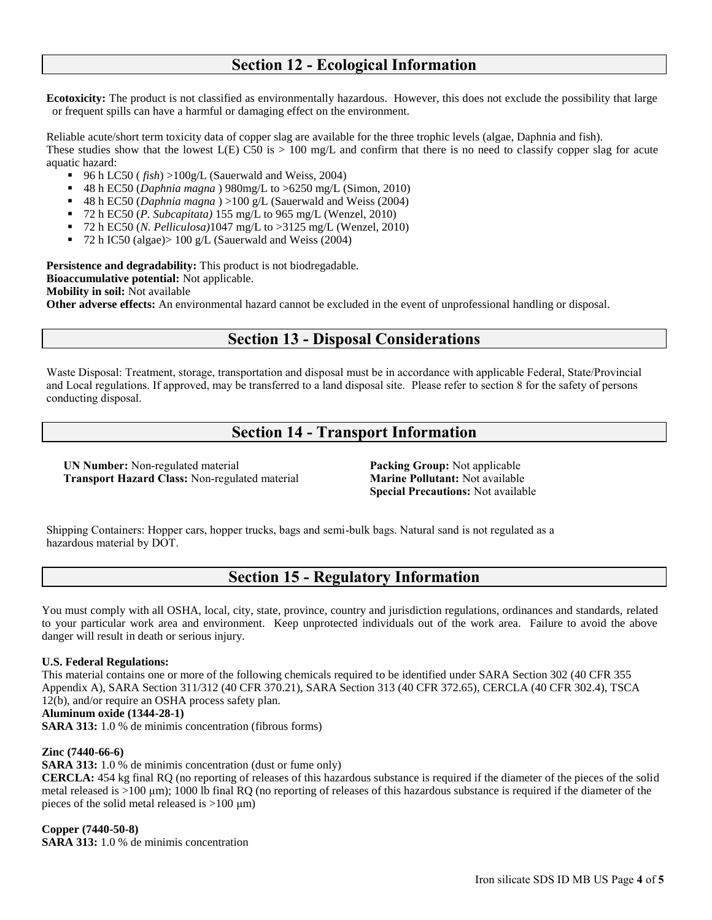# **Section 12 - Ecological Information**

**Ecotoxicity:** The product is not classified as environmentally hazardous. However, this does not exclude the possibility that large or frequent spills can have a harmful or damaging effect on the environment.

Reliable acute/short term toxicity data of copper slag are available for the three trophic levels (algae, Daphnia and fish). These studies show that the lowest  $L(E)$  C50 is  $> 100 \text{ mg/L}$  and confirm that there is no need to classify copper slag for acute aquatic hazard:

- 96 h LC50 ( *fish*) >100g/L (Sauerwald and Weiss, 2004)
- 48 h EC50 (*Daphnia magna* ) 980mg/L to >6250 mg/L (Simon, 2010)
- 48 h EC50 (*Daphnia magna* ) >100 g/L (Sauerwald and Weiss (2004)
- 72 h EC50 (*P. Subcapitata)* 155 mg/L to 965 mg/L (Wenzel, 2010)
- 72 h EC50 (*N. Pelliculosa)*1047 mg/L to >3125 mg/L (Wenzel, 2010)
- $\blacksquare$  72 h IC50 (algae) > 100 g/L (Sauerwald and Weiss (2004)

**Persistence and degradability:** This product is not biodregadable. **Bioaccumulative potential:** Not applicable. **Mobility in soil:** Not available **Other adverse effects:** An environmental hazard cannot be excluded in the event of unprofessional handling or disposal.

# **Section 13 - Disposal Considerations**

Waste Disposal: Treatment, storage, transportation and disposal must be in accordance with applicable Federal, State/Provincial and Local regulations. If approved, may be transferred to a land disposal site. Please refer to section 8 for the safety of persons conducting disposal.

# **Section 14 - Transport Information**

**UN Number:** Non-regulated material **Transport Hazard Class:** Non-regulated material

**Packing Group:** Not applicable **Marine Pollutant:** Not available **Special Precautions:** Not available

Shipping Containers: Hopper cars, hopper trucks, bags and semi-bulk bags. Natural sand is not regulated as a hazardous material by DOT.

# **Section 15 - Regulatory Information**

You must comply with all OSHA, local, city, state, province, country and jurisdiction regulations, ordinances and standards, related to your particular work area and environment. Keep unprotected individuals out of the work area. Failure to avoid the above danger will result in death or serious injury.

## **U.S. Federal Regulations:**

This material contains one or more of the following chemicals required to be identified under SARA Section 302 (40 CFR 355 Appendix A), SARA Section 311/312 (40 CFR 370.21), SARA Section 313 (40 CFR 372.65), CERCLA (40 CFR 302.4), TSCA 12(b), and/or require an OSHA process safety plan.

## **Aluminum oxide (1344-28-1)**

**SARA 313:** 1.0 % de minimis concentration (fibrous forms)

#### **Zinc (7440-66-6)**

**SARA 313:** 1.0 % de minimis concentration (dust or fume only)

**CERCLA:** 454 kg final RQ (no reporting of releases of this hazardous substance is required if the diameter of the pieces of the solid metal released is >100 μm); 1000 lb final RQ (no reporting of releases of this hazardous substance is required if the diameter of the pieces of the solid metal released is  $>100 \mu m$ )

**Copper (7440-50-8)** 

**SARA 313:** 1.0 % de minimis concentration